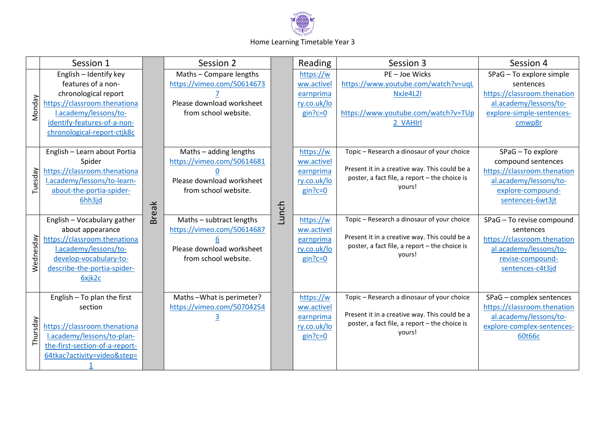

## Home Learning Timetable Year 3

|           | Session 1                                                                                                                                                                                   |              | Session 2                                                                                                   |       | Reading                                                          | Session 3                                                                                                                                              | Session 4                                                                                                                                 |
|-----------|---------------------------------------------------------------------------------------------------------------------------------------------------------------------------------------------|--------------|-------------------------------------------------------------------------------------------------------------|-------|------------------------------------------------------------------|--------------------------------------------------------------------------------------------------------------------------------------------------------|-------------------------------------------------------------------------------------------------------------------------------------------|
| Monday    | English - Identify key<br>features of a non-<br>chronological report<br>https://classroom.thenationa<br>l.academy/lessons/to-<br>identify-features-of-a-non-<br>chronological-report-ctjk8c | <b>Break</b> | Maths - Compare lengths<br>https://vimeo.com/50614673<br>Please download worksheet<br>from school website.  | Lunch | https://w<br>ww.activel<br>earnprima<br>ry.co.uk/lo<br>$gin?c=0$ | PE-Joe Wicks<br>https://www.youtube.com/watch?v=uqL<br>NxJe4L2I<br>https://www.youtube.com/watch?v=TUp<br>2 VAHIrl                                     | SPaG - To explore simple<br>sentences<br>https://classroom.thenation<br>al.academy/lessons/to-<br>explore-simple-sentences-<br>cmwp8r     |
| Tuesday   | English - Learn about Portia<br>Spider<br>https://classroom.thenationa<br>Lacademy/lessons/to-learn-<br>about-the-portia-spider-<br>6hh3jd                                                  |              | Maths - adding lengths<br>https://vimeo.com/50614681<br>Please download worksheet<br>from school website.   |       | https://w<br>ww.activel<br>earnprima<br>ry.co.uk/lo<br>$gin?c=0$ | Topic - Research a dinosaur of your choice<br>Present it in a creative way. This could be a<br>poster, a fact file, a report - the choice is<br>yours! | SPaG - To explore<br>compound sentences<br>https://classroom.thenation<br>al.academy/lessons/to-<br>explore-compound-<br>sentences-6wt3jt |
| Wednesday | English - Vocabulary gather<br>about appearance<br>https://classroom.thenationa<br>l.academy/lessons/to-<br>develop-vocabulary-to-<br>describe-the-portia-spider-<br>6xjk2c                 |              | Maths - subtract lengths<br>https://vimeo.com/50614687<br>Please download worksheet<br>from school website. |       | https://w<br>ww.activel<br>earnprima<br>ry.co.uk/lo<br>$gin?c=0$ | Topic - Research a dinosaur of your choice<br>Present it in a creative way. This could be a<br>poster, a fact file, a report - the choice is<br>yours! | SPaG - To revise compound<br>sentences<br>https://classroom.thenation<br>al.academy/lessons/to-<br>revise-compound-<br>sentences-c4t3jd   |
| Thursday  | English $-$ To plan the first<br>section<br>https://classroom.thenationa<br>l.academy/lessons/to-plan-<br>the-first-section-of-a-report-<br>64tkac?activity=video&step=                     |              | Maths-What is perimeter?<br>https://vimeo.com/50704254                                                      |       | https://w<br>ww.activel<br>earnprima<br>ry.co.uk/lo<br>$gin?c=0$ | Topic - Research a dinosaur of your choice<br>Present it in a creative way. This could be a<br>poster, a fact file, a report - the choice is<br>yours! | SPaG - complex sentences<br>https://classroom.thenation<br>al.academy/lessons/to-<br>explore-complex-sentences-<br>60t66c                 |